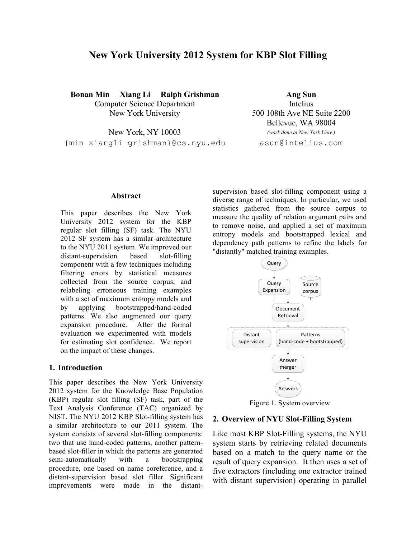# **New York University 2012 System for KBP Slot Filling**

**Bonan Min Xiang Li Ralph Grishman Ang Sun** Computer Science Department Intelius New York University 500 108th Ave NE Suite 2200

Bellevue, WA 98004

New York, NY 10003 *(work done at New York Univ.)* {min xiangli grishman}@cs.nyu.edu asun@intelius.com

#### **Abstract**

This paper describes the New York University 2012 system for the KBP regular slot filling (SF) task. The NYU 2012 SF system has a similar architecture to the NYU 2011 system. We improved our distant-supervision based slot-filling component with a few techniques including filtering errors by statistical measures collected from the source corpus, and relabeling erroneous training examples with a set of maximum entropy models and by applying bootstrapped/hand-coded patterns. We also augmented our query expansion procedure. After the formal evaluation we experimented with models for estimating slot confidence. We report on the impact of these changes.

#### **1. Introduction**

This paper describes the New York University 2012 system for the Knowledge Base Population (KBP) regular slot filling (SF) task, part of the Text Analysis Conference (TAC) organized by NIST. The NYU 2012 KBP Slot-filling system has a similar architecture to our 2011 system. The system consists of several slot-filling components: two that use hand-coded patterns, another patternbased slot-filler in which the patterns are generated semi-automatically with a bootstrapping procedure, one based on name coreference, and a distant-supervision based slot filler. Significant improvements were made in the distantsupervision based slot-filling component using a diverse range of techniques. In particular, we used statistics gathered from the source corpus to measure the quality of relation argument pairs and to remove noise, and applied a set of maximum entropy models and bootstrapped lexical and dependency path patterns to refine the labels for "distantly" matched training examples.



Figure 1. System overview

### **2. Overview of NYU Slot-Filling System**

Like most KBP Slot-Filling systems, the NYU system starts by retrieving related documents based on a match to the query name or the result of query expansion. It then uses a set of five extractors (including one extractor trained with distant supervision) operating in parallel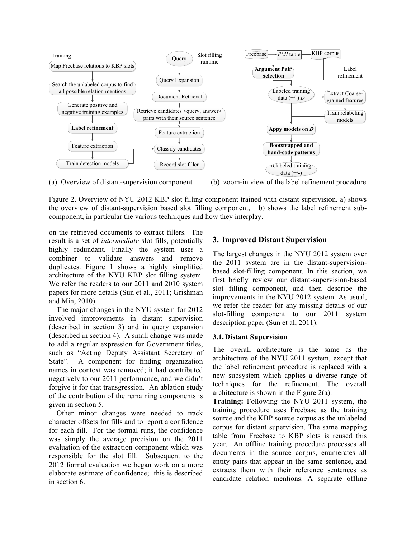

(a) Overview of distant-supervision component (b) zoom-in view of the label refinement procedure

Figure 2. Overview of NYU 2012 KBP slot filling component trained with distant supervision. a) shows the overview of distant-supervision based slot filling component, b) shows the label refinement subcomponent, in particular the various techniques and how they interplay.

on the retrieved documents to extract fillers. The result is a set of *intermediate* slot fills, potentially highly redundant. Finally the system uses a combiner to validate answers and remove duplicates. Figure 1 shows a highly simplified architecture of the NYU KBP slot filling system. We refer the readers to our 2011 and 2010 system papers for more details (Sun et al., 2011; Grishman and Min, 2010).

The major changes in the NYU system for 2012 involved improvements in distant supervision (described in section 3) and in query expansion (described in section 4). A small change was made to add a regular expression for Government titles, such as "Acting Deputy Assistant Secretary of State". A component for finding organization names in context was removed; it had contributed negatively to our 2011 performance, and we didn't forgive it for that transgression. An ablation study of the contribution of the remaining components is given in section 5.

Other minor changes were needed to track character offsets for fills and to report a confidence for each fill. For the formal runs, the confidence was simply the average precision on the 2011 evaluation of the extraction component which was responsible for the slot fill. Subsequent to the 2012 formal evaluation we began work on a more elaborate estimate of confidence; this is described in section 6.

## **3. Improved Distant Supervision**

The largest changes in the NYU 2012 system over the 2011 system are in the distant-supervisionbased slot-filling component. In this section, we first briefly review our distant-supervision-based slot filling component, and then describe the improvements in the NYU 2012 system. As usual, we refer the reader for any missing details of our slot-filling component to our 2011 system description paper (Sun et al, 2011).

## **3.1.Distant Supervision**

The overall architecture is the same as the architecture of the NYU 2011 system, except that the label refinement procedure is replaced with a new subsystem which applies a diverse range of techniques for the refinement. The overall architecture is shown in the Figure 2(a).

**Training:** Following the NYU 2011 system, the training procedure uses Freebase as the training source and the KBP source corpus as the unlabeled corpus for distant supervision. The same mapping table from Freebase to KBP slots is reused this year. An offline training procedure processes all documents in the source corpus, enumerates all entity pairs that appear in the same sentence, and extracts them with their reference sentences as candidate relation mentions. A separate offline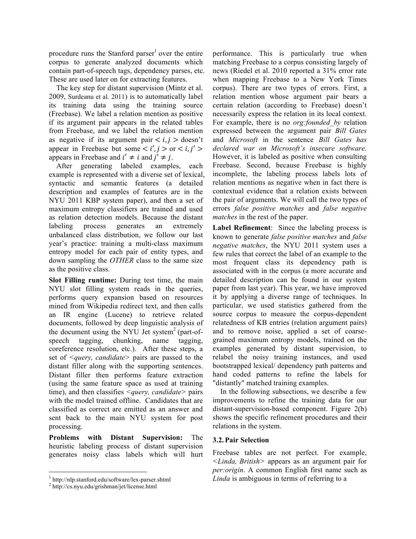procedure runs the Stanford parser<sup>1</sup> over the entire corpus to generate analyzed documents which contain part-of-speech tags, dependency parses, etc. These are used later on for extracting features.

 The key step for distant supervision (Mintz et al. 2009, Surdeanu et al. 2011) is to automatically label its training data using the training source (Freebase). We label a relation mention as positive if its argument pair appears in the related tables from Freebase, and we label the relation mention as negative if its argument pair  $\langle i, j \rangle$  doesn't appear in Freebase but some  $\langle i', j \rangle$  or  $\langle i, j' \rangle$ appears in Freebase and  $i' \neq i$  and  $j' \neq j$ .

 After generating labeled examples, each example is represented with a diverse set of lexical, syntactic and semantic features (a detailed description and examples of features are in the NYU 2011 KBP system paper), and then a set of maximum entropy classifiers are trained and used as relation detection models. Because the distant labeling process generates an extremely unbalanced class distribution, we follow our last year's practice: training a multi-class maximum entropy model for each pair of entity types, and down sampling the *OTHER* class to the same size as the positive class.

**Slot Filling runtime:** During test time, the main NYU slot filling system reads in the queries, performs query expansion based on resources mined from Wikipedia redirect text, and then calls an IR engine (Lucene) to retrieve related documents, followed by deep linguistic analysis of the document using the NYU Jet system<sup>2</sup> (part-ofspeech tagging, chunking, name tagging, coreference resolution, etc.). After these steps, a set of *<query, candidate>* pairs are passed to the distant filler along with the supporting sentences. Distant filler then performs feature extraction (using the same feature space as used at training time), and then classifies *<query, candidate>* pairs with the model trained offline. Candidates that are classified as correct are emitted as an answer and sent back to the main NYU system for post processing.

**Problems with Distant Supervision:** The heuristic labeling process of distant supervision generates noisy class labels which will hurt performance. This is particularly true when matching Freebase to a corpus consisting largely of news (Riedel et al. 2010 reported a 31% error rate when mapping Freebase to a New York Times corpus). There are two types of errors. First, a relation mention whose argument pair bears a certain relation (according to Freebase) doesn't necessarily express the relation in its local context. For example, there is no *org:founded\_by* relation expressed between the argument pair *Bill Gates* and *Microsoft* in the sentence *Bill Gates has declared war on Microsoft's insecure software.* However, it is labeled as positive when consulting Freebase. Second, because Freebase is highly incomplete, the labeling process labels lots of relation mentions as negative when in fact there is contextual evidence that a relation exists between the pair of arguments. We will call the two types of errors *false positive matches* and *false negative matches* in the rest of the paper.

**Label Refinement**: Since the labeling process is known to generate *false positive matches* and *false negative matches*, the NYU 2011 system uses a few rules that correct the label of an example to the most frequent class its dependency path is associated with in the corpus (a more accurate and detailed description can be found in our system paper from last year). This year, we have improved it by applying a diverse range of techniques. In particular, we used statistics gathered from the source corpus to measure the corpus-dependent relatedness of KB entries (relation argument pairs) and to remove noise, applied a set of coarsegrained maximum entropy models, trained on the examples generated by distant supervision, to relabel the noisy training instances, and used bootstrapped lexical/ dependency path patterns and hand coded patterns to refine the labels for "distantly" matched training examples.

In the following subsections, we describe a few improvements to refine the training data for our distant-supervision-based component. Figure 2(b) shows the specific refinement procedures and their relations in the system.

#### **3.2.Pair Selection**

Freebase tables are not perfect. For example, *<Linda, British>* appears as an argument pair for *per:origin*. A common English first name such as *Linda* is ambiguous in terms of referring to a

 $\frac{1}{2}$  http://nlp.stanford.edu/software/lex-parser.shtml<br> $\frac{2}{2}$  http://cs.nyu.edu/grishman/jet/license.html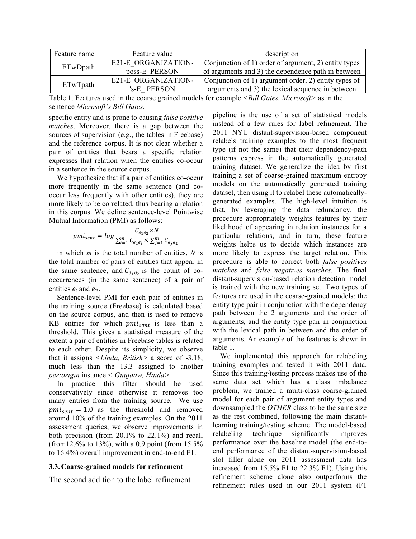| Feature name | Feature value       | description                                          |
|--------------|---------------------|------------------------------------------------------|
| ETwDpath     | E21-E ORGANIZATION- | Conjunction of 1) order of argument, 2) entity types |
|              | poss-E PERSON       | of arguments and 3) the dependence path in between   |
| ETwTpath     | E21-E ORGANIZATION- | Conjunction of 1) argument order, 2) entity types of |
|              | 's-E PERSON         | arguments and 3) the lexical sequence in between     |

Table 1. Features used in the coarse grained models for example *<Bill Gates, Microsoft>* as in the sentence *Microsoft's Bill Gates*.

specific entity and is prone to causing *false positive matches*. Moreover, there is a gap between the sources of supervision (e.g., the tables in Freebase) and the reference corpus. It is not clear whether a pair of entities that bears a specific relation expresses that relation when the entities co-occur in a sentence in the source corpus.

We hypothesize that if a pair of entities co-occur more frequently in the same sentence (and cooccur less frequently with other entities), they are more likely to be correlated, thus bearing a relation in this corpus. We define sentence-level Pointwise Mutual Information (PMI) as follows:

$$
pmi_{sent} = log \frac{C_{e_1e_2} \times N}{\sum_{i=1}^{m} C_{e_1e_i} \times \sum_{j=1}^{m} C_{e_je_2}}
$$

in which *m* is the total number of entities, *N* is the total number of pairs of entities that appear in the same sentence, and  $C_{e_1e_2}$  is the count of cooccurrences (in the same sentence) of a pair of entities  $e_1$  and  $e_2$ .

Sentence-level PMI for each pair of entities in the training source (Freebase) is calculated based on the source corpus, and then is used to remove  $KB$  entries for which  $pm_{sent}$  is less than a threshold. This gives a statistical measure of the extent a pair of entities in Freebase tables is related to each other. Despite its simplicity, we observe that it assigns *<Linda, British>* a score of -3.18, much less than the 13.3 assigned to another *per:origin* instance *< Guujaaw, Haida>.*

In practice this filter should be used conservatively since otherwise it removes too many entries from the training source. We use  $pm_{sent} = 1.0$  as the threshold and removed around 10% of the training examples. On the 2011 assessment queries, we observe improvements in both precision (from 20.1% to 22.1%) and recall (from12.6% to 13%), with a 0.9 point (from 15.5% to 16.4%) overall improvement in end-to-end F1.

#### **3.3.Coarse-grained models for refinement**

The second addition to the label refinement

pipeline is the use of a set of statistical models instead of a few rules for label refinement. The 2011 NYU distant-supervision-based component relabels training examples to the most frequent type (if not the same) that their dependency-path patterns express in the automatically generated training dataset. We generalize the idea by first training a set of coarse-grained maximum entropy models on the automatically generated training dataset, then using it to relabel these automaticallygenerated examples. The high-level intuition is that, by leveraging the data redundancy, the procedure appropriately weights features by their likelihood of appearing in relation instances for a particular relations, and in turn, these feature weights helps us to decide which instances are more likely to express the target relation. This procedure is able to correct both *false positives matches* and *false negatives matches*. The final distant-supervision-based relation detection model is trained with the new training set. Two types of features are used in the coarse-grained models: the entity type pair in conjunction with the dependency path between the 2 arguments and the order of arguments, and the entity type pair in conjunction with the lexical path in between and the order of arguments. An example of the features is shown in table 1.

 We implemented this approach for relabeling training examples and tested it with 2011 data. Since this training/testing process makes use of the same data set which has a class imbalance problem, we trained a multi-class coarse-grained model for each pair of argument entity types and downsampled the *OTHER* class to be the same size as the rest combined, following the main distantlearning training/testing scheme. The model-based relabeling technique significantly improves performance over the baseline model (the end-toend performance of the distant-supervision-based slot filler alone on 2011 assessment data has increased from 15.5% F1 to 22.3% F1). Using this refinement scheme alone also outperforms the refinement rules used in our 2011 system (F1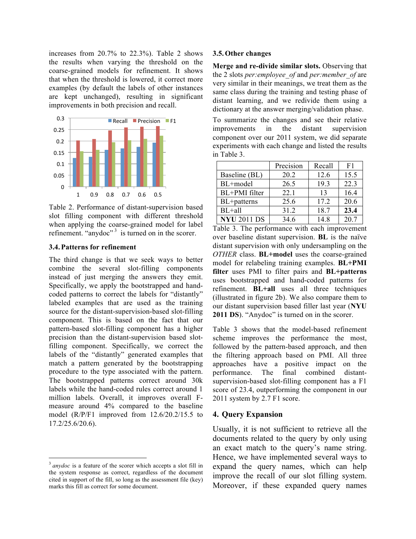increases from 20.7% to 22.3%). Table 2 shows the results when varying the threshold on the coarse-grained models for refinement. It shows that when the threshold is lowered, it correct more examples (by default the labels of other instances are kept unchanged), resulting in significant improvements in both precision and recall.



Table 2. Performance of distant-supervision based slot filling component with different threshold when applying the coarse-grained model for label refinement. "anydoc" $3$  is turned on in the scorer.

#### **3.4.Patterns for refinement**

The third change is that we seek ways to better combine the several slot-filling components instead of just merging the answers they emit. Specifically, we apply the bootstrapped and handcoded patterns to correct the labels for "distantly" labeled examples that are used as the training source for the distant-supervision-based slot-filling component. This is based on the fact that our pattern-based slot-filling component has a higher precision than the distant-supervision based slotfilling component. Specifically, we correct the labels of the "distantly" generated examples that match a pattern generated by the bootstrapping procedure to the type associated with the pattern. The bootstrapped patterns correct around 30k labels while the hand-coded rules correct around 1 million labels. Overall, it improves overall Fmeasure around 4% compared to the baseline model (R/P/F1 improved from 12.6/20.2/15.5 to 17.2/25.6/20.6).

#### **3.5.Other changes**

**Merge and re-divide similar slots.** Observing that the 2 slots *per:employee\_of* and *per:member\_of* are very similar in their meanings, we treat them as the same class during the training and testing phase of distant learning, and we redivide them using a dictionary at the answer merging/validation phase.

To summarize the changes and see their relative improvements in the distant supervision component over our 2011 system, we did separate experiments with each change and listed the results in Table 3.

|                    | Precision | Recall | F <sub>1</sub> |
|--------------------|-----------|--------|----------------|
| Baseline (BL)      | 20.2      | 12.6   | 15.5           |
| BL+model           | 26.5      | 19.3   | 22.3           |
| BL+PMI filter      | 22.1      | 13     | 16.4           |
| BL+patterns        | 25.6      | 17.2   | 20.6           |
| $BL + all$         | 31.2      | 18.7   | 23.4           |
| <b>NYU 2011 DS</b> | 34.6      | 14 8   | 20.7           |

Table 3. The performance with each improvement over baseline distant supervision. **BL** is the naïve distant supervision with only undersampling on the *OTHER* class. **BL+model** uses the coarse-grained model for relabeling training examples. **BL+PMI filter** uses PMI to filter pairs and **BL+patterns** uses bootstrapped and hand-coded patterns for refinement. **BL+all** uses all three techniques (illustrated in figure 2b). We also compare them to our distant supervision based filler last year (**NYU 2011 DS**). "Anydoc" is turned on in the scorer.

Table 3 shows that the model-based refinement scheme improves the performance the most, followed by the pattern-based approach, and then the filtering approach based on PMI. All three approaches have a positive impact on the performance. The final combined distantsupervision-based slot-filling component has a F1 score of 23.4, outperforming the component in our 2011 system by 2.7 F1 score.

#### **4. Query Expansion**

Usually, it is not sufficient to retrieve all the documents related to the query by only using an exact match to the query's name string. Hence, we have implemented several ways to expand the query names, which can help improve the recall of our slot filling system. Moreover, if these expanded query names

 <sup>3</sup> *anydoc* is a feature of the scorer which accepts a slot fill in the system response as correct, regardless of the document cited in support of the fill, so long as the assessment file (key) marks this fill as correct for some document.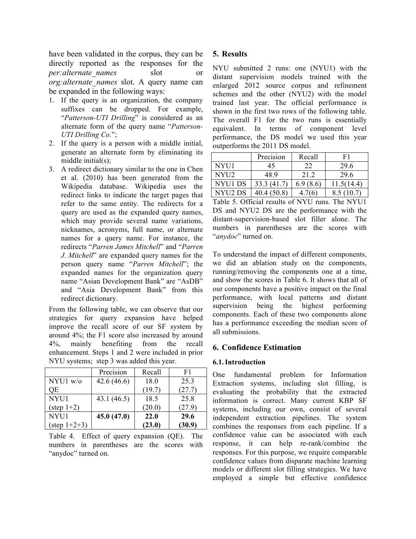have been validated in the corpus, they can be directly reported as the responses for the *per:alternate\_names* slot or *org:alternate\_names* slot. A query name can be expanded in the following ways:

- 1. If the query is an organization, the company suffixes can be dropped. For example, "*Patterson-UTI Drilling*" is considered as an alternate form of the query name "*Patterson-UTI Drilling Co.*";
- 2. If the query is a person with a middle initial, generate an alternate form by eliminating its middle initial(s);
- 3. A redirect dictionary similar to the one in Chen et al. (2010) has been generated from the Wikipedia database. Wikipedia uses the redirect links to indicate the target pages that refer to the same entity. The redirects for a query are used as the expanded query names, which may provide several name variations, nicknames, acronyms, full name, or alternate names for a query name. For instance, the redirects "*Parren James Mitchell*" and "*Parren J. Mitchell*" are expanded query names for the person query name "*Parren Mitchell*"; the expanded names for the organization query name "Asian Development Bank" are "AsDB" and "Asia Development Bank" from this redirect dictionary.

From the following table, we can observe that our strategies for query expansion have helped improve the recall score of our SF system by around 4%; the F1 score also increased by around 4%, mainly benefiting from the recall enhancement. Steps 1 and 2 were included in prior NYU systems; step 3 was added this year.

|                        | Precision  | Recall | F1     |
|------------------------|------------|--------|--------|
| NYU1 w/o               | 42.6(46.6) | 18.0   | 25.3   |
| ОE                     |            | (19.7) | (27.7) |
| NYU1                   | 43.1(46.5) | 18.5   | 25.8   |
| $(\text{step } 1+2)$   |            | (20.0) | (27.9) |
| NYU1                   | 45.0(47.0) | 22.0   | 29.6   |
| $(\text{step } 1+2+3)$ |            | (23.0) | (30.9) |

Table 4. Effect of query expansion (QE). The numbers in parentheses are the scores with "anydoc" turned on.

## **5. Results**

NYU submitted 2 runs: one (NYU1) with the distant supervision models trained with the enlarged 2012 source corpus and refinement schemes and the other (NYU2) with the model trained last year. The official performance is shown in the first two rows of the following table. The overall F1 for the two runs is essentially equivalent. In terms of component level performance, the DS model we used this year outperforms the 2011 DS model.

|         | Precision   | Recall   | F1         |
|---------|-------------|----------|------------|
| NYU1    | 45          | 22       | 29.6       |
| NYU2    | 48.9        | 21.2     | 29.6       |
| NYU1 DS | 33.3 (41.7) | 6.9(8.6) | 11.5(14.4) |
| NYU2 DS | 40.4(50.8)  | 4.7(6)   | 8.5(10.7)  |

Table 5. Official results of NYU runs. The NYU1 DS and NYU2 DS are the performance with the distant-supervision-based slot filler alone. The numbers in parentheses are the scores with "*anydoc*" turned on.

To understand the impact of different components, we did an ablation study on the components, running/removing the components one at a time, and show the scores in Table 6. It shows that all of our components have a positive impact on the final performance, with local patterns and distant supervision being the highest performing components. Each of these two components alone has a performance exceeding the median score of all submissions.

## **6. Confidence Estimation**

## **6.1.Introduction**

One fundamental problem for Information Extraction systems, including slot filling, is evaluating the probability that the extracted information is correct. Many current KBP SF systems, including our own, consist of several independent extraction pipelines. The system combines the responses from each pipeline. If a confidence value can be associated with each response, it can help re-rank/combine the responses. For this purpose, we require comparable confidence values from disparate machine learning models or different slot filling strategies. We have employed a simple but effective confidence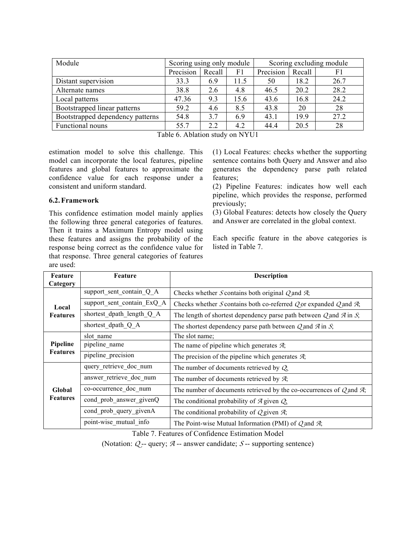| Scoring using only module |        |      | Scoring excluding module |        |      |
|---------------------------|--------|------|--------------------------|--------|------|
| Precision                 | Recall | F1   | Precision                | Recall | F1   |
| 33.3                      | 6.9    | 11.5 | 50                       | 18.2   | 26.7 |
| 38.8                      | 2.6    | 4.8  | 46.5                     | 20.2   | 28.2 |
| 47.36                     | 9.3    | 15.6 | 43.6                     | 16.8   | 24.2 |
| 59.2                      | 4.6    | 8.5  | 43.8                     | 20     | 28   |
| 54.8                      | 3.7    | 6.9  | 43.1                     | 19.9   | 27.2 |
| 55.7                      | 2.2    | 4.2  | 44.4                     | 20.5   | 28   |
|                           |        |      |                          |        |      |

Table 6. Ablation study on NYU1

estimation model to solve this challenge. This model can incorporate the local features, pipeline features and global features to approximate the confidence value for each response under a consistent and uniform standard.

## **6.2.Framework**

This confidence estimation model mainly applies the following three general categories of features. Then it trains a Maximum Entropy model using these features and assigns the probability of the response being correct as the confidence value for that response. Three general categories of features are used:

(1) Local Features: checks whether the supporting sentence contains both Query and Answer and also generates the dependency parse path related features;

(2) Pipeline Features: indicates how well each pipeline, which provides the response, performed previously;

(3) Global Features: detects how closely the Query and Answer are correlated in the global context.

Each specific feature in the above categories is listed in Table 7.

| Feature<br>Category         | Feature                    | <b>Description</b>                                                                   |  |
|-----------------------------|----------------------------|--------------------------------------------------------------------------------------|--|
|                             | support sent contain Q A   | Checks whether S contains both original Q and $\mathcal{A}$ ;                        |  |
| Local                       | support sent contain ExQ A | Checks whether S contains both co-referred Q or expanded Q and $\mathcal{A}$ ;       |  |
| <b>Features</b>             | shortest dpath length Q A  | The length of shortest dependency parse path between $Q$ and $\overline{A}$ in $S$ ; |  |
|                             | shortest dpath Q A         | The shortest dependency parse path between $Q$ and $\overline{A}$ in $S$ ;           |  |
| Pipeline<br><b>Features</b> | slot name                  | The slot name;                                                                       |  |
|                             | pipeline_name              | The name of pipeline which generates $\mathcal{A}$ ;                                 |  |
|                             | pipeline_precision         | The precision of the pipeline which generates $\mathcal{A}$ ;                        |  |
| Global<br><b>Features</b>   | query_retrieve_doc_num     | The number of documents retrieved by $Q_{y}$                                         |  |
|                             | answer retrieve doc num    | The number of documents retrieved by $\mathcal{A}$ ;                                 |  |
|                             | co-occurrence_doc_num      | The number of documents retrieved by the co-occurrences of $Q$ and $\mathcal{A}$ ;   |  |
|                             | cond prob answer givenQ    | The conditional probability of $\mathcal A$ given $\mathcal Q$ ,                     |  |
|                             | cond prob query givenA     | The conditional probability of $Q$ given $\mathcal{A}$ ;                             |  |
|                             | point-wise_mutual_info     | The Point-wise Mutual Information (PMI) of $Q$ and $\mathcal{A}$ ;                   |  |

Table 7. Features of Confidence Estimation Model

(Notation: *Q* -- query; *A* -- answer candidate; *<sup>S</sup>* -- supporting sentence)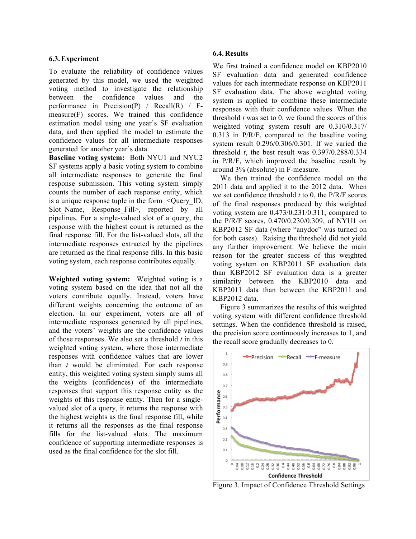#### **6.3.Experiment**

To evaluate the reliability of confidence values generated by this model, we used the weighted voting method to investigate the relationship between the confidence values and the performance in Precision $(P)$  / Recall $(R)$  / Fmeasure(F) scores. We trained this confidence estimation model using one year's SF evaluation data, and then applied the model to estimate the confidence values for all intermediate responses generated for another year's data.

**Baseline voting system:** Both NYU1 and NYU2 SF systems apply a basic voting system to combine all intermediate responses to generate the final response submission. This voting system simply counts the number of each response entity, which is a unique response tuple in the form <Query\_ID, Slot Name, Response Fill>, reported by all pipelines. For a single-valued slot of a query, the response with the highest count is returned as the final response fill. For the list-valued slots, all the intermediate responses extracted by the pipelines are returned as the final response fills. In this basic voting system, each response contributes equally.

**Weighted voting system:** Weighted voting is a voting system based on the idea that not all the voters contribute equally. Instead, voters have different weights concerning the outcome of an election. In our experiment, voters are all of intermediate responses generated by all pipelines, and the voters' weights are the confidence values of those responses. We also set a threshold *t* in this weighted voting system, where those intermediate responses with confidence values that are lower than *t* would be eliminated. For each response entity, this weighted voting system simply sums all the weights (confidences) of the intermediate responses that support this response entity as the weights of this response entity. Then for a singlevalued slot of a query, it returns the response with the highest weights as the final response fill, while it returns all the responses as the final response fills for the list-valued slots. The maximum confidence of supporting intermediate responses is used as the final confidence for the slot fill.

#### **6.4.Results**

We first trained a confidence model on KBP2010 SF evaluation data and generated confidence values for each intermediate response on KBP2011 SF evaluation data. The above weighted voting system is applied to combine these intermediate responses with their confidence values. When the threshold *t* was set to 0, we found the scores of this weighted voting system result are 0.310/0.317/ 0.313 in P/R/F, compared to the baseline voting system result 0.296/0.306/0.301. If we varied the threshold *t*, the best result was 0.397/0.288/0.334 in P/R/F, which improved the baseline result by around 3% (absolute) in F-measure.

We then trained the confidence model on the 2011 data and applied it to the 2012 data. When we set confidence threshold *t* to 0, the P/R/F scores of the final responses produced by this weighted voting system are 0.473/0.231/0.311, compared to the P/R/F scores, 0.470/0.230/0.309, of NYU1 on KBP2012 SF data (where "anydoc" was turned on for both cases). Raising the threshold did not yield any further improvement. We believe the main reason for the greater success of this weighted voting system on KBP2011 SF evaluation data than KBP2012 SF evaluation data is a greater similarity between the KBP2010 data and KBP2011 data than between the KBP2011 and KBP2012 data.

Figure 3 summarizes the results of this weighted voting system with different confidence threshold settings. When the confidence threshold is raised, the precision score continuously increases to 1, and the recall score gradually decreases to 0.



Figure 3. Impact of Confidence Threshold Settings